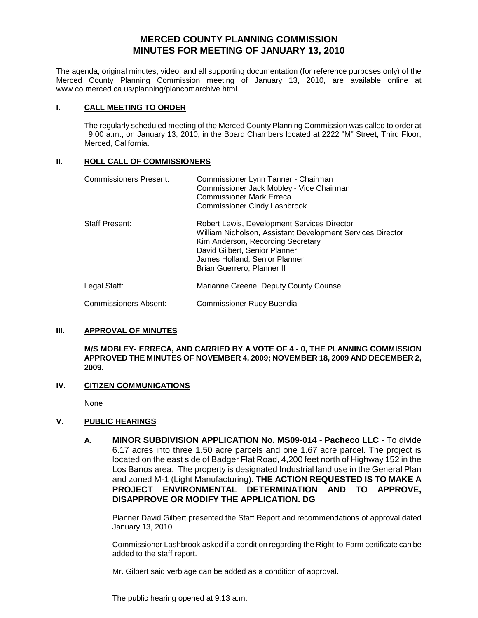## **MERCED COUNTY PLANNING COMMISSION MINUTES FOR MEETING OF JANUARY 13, 2010**

The agenda, original minutes, video, and all supporting documentation (for reference purposes only) of the Merced County Planning Commission meeting of January 13, 2010, are available online at www.co.merced.ca.us/planning/plancomarchive.html.

#### **I. CALL MEETING TO ORDER**

The regularly scheduled meeting of the Merced County Planning Commission was called to order at 9:00 a.m., on January 13, 2010, in the Board Chambers located at 2222 "M" Street, Third Floor, Merced, California.

#### **II. ROLL CALL OF COMMISSIONERS**

| <b>Commissioners Present:</b> | Commissioner Lynn Tanner - Chairman<br>Commissioner Jack Mobley - Vice Chairman<br><b>Commissioner Mark Erreca</b><br><b>Commissioner Cindy Lashbrook</b>                                                                                      |
|-------------------------------|------------------------------------------------------------------------------------------------------------------------------------------------------------------------------------------------------------------------------------------------|
| <b>Staff Present:</b>         | Robert Lewis, Development Services Director<br>William Nicholson, Assistant Development Services Director<br>Kim Anderson, Recording Secretary<br>David Gilbert, Senior Planner<br>James Holland, Senior Planner<br>Brian Guerrero, Planner II |
| Legal Staff:                  | Marianne Greene, Deputy County Counsel                                                                                                                                                                                                         |
| <b>Commissioners Absent:</b>  | Commissioner Rudy Buendia                                                                                                                                                                                                                      |

## **III. APPROVAL OF MINUTES**

**M/S MOBLEY- ERRECA, AND CARRIED BY A VOTE OF 4 - 0, THE PLANNING COMMISSION APPROVED THE MINUTES OF NOVEMBER 4, 2009; NOVEMBER 18, 2009 AND DECEMBER 2, 2009.**

## **IV. CITIZEN COMMUNICATIONS**

None

## **V. PUBLIC HEARINGS**

**A. MINOR SUBDIVISION APPLICATION No. MS09-014 - Pacheco LLC -** To divide 6.17 acres into three 1.50 acre parcels and one 1.67 acre parcel. The project is located on the east side of Badger Flat Road, 4,200 feet north of Highway 152 in the Los Banos area. The property is designated Industrial land use in the General Plan and zoned M-1 (Light Manufacturing). **THE ACTION REQUESTED IS TO MAKE A PROJECT ENVIRONMENTAL DETERMINATION AND TO APPROVE, DISAPPROVE OR MODIFY THE APPLICATION. DG**

Planner David Gilbert presented the Staff Report and recommendations of approval dated January 13, 2010.

Commissioner Lashbrook asked if a condition regarding the Right-to-Farm certificate can be added to the staff report.

Mr. Gilbert said verbiage can be added as a condition of approval.

The public hearing opened at 9:13 a.m.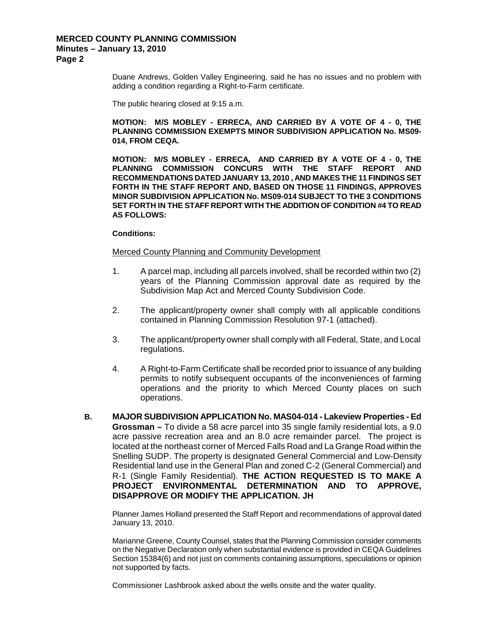Duane Andrews, Golden Valley Engineering, said he has no issues and no problem with adding a condition regarding a Right-to-Farm certificate.

The public hearing closed at 9:15 a.m.

#### **MOTION: M/S MOBLEY - ERRECA, AND CARRIED BY A VOTE OF 4 - 0, THE PLANNING COMMISSION EXEMPTS MINOR SUBDIVISION APPLICATION No. MS09- 014, FROM CEQA.**

**MOTION: M/S MOBLEY - ERRECA, AND CARRIED BY A VOTE OF 4 - 0, THE PLANNING COMMISSION CONCURS WITH THE STAFF REPORT AND RECOMMENDATIONS DATED JANUARY 13, 2010 , AND MAKES THE 11 FINDINGS SET FORTH IN THE STAFF REPORT AND, BASED ON THOSE 11 FINDINGS, APPROVES MINOR SUBDIVISION APPLICATION No. MS09-014 SUBJECT TO THE 3 CONDITIONS SET FORTH IN THE STAFF REPORT WITH THE ADDITION OF CONDITION #4 TO READ AS FOLLOWS:**

#### **Conditions:**

#### Merced County Planning and Community Development

- 1. A parcel map, including all parcels involved, shall be recorded within two (2) years of the Planning Commission approval date as required by the Subdivision Map Act and Merced County Subdivision Code.
- 2. The applicant/property owner shall comply with all applicable conditions contained in Planning Commission Resolution 97-1 (attached).
- 3. The applicant/property owner shall comply with all Federal, State, and Local regulations.
- 4. A Right-to-Farm Certificate shall be recorded prior to issuance of any building permits to notify subsequent occupants of the inconveniences of farming operations and the priority to which Merced County places on such operations.
- **B. MAJOR SUBDIVISION APPLICATION No. MAS04-014 - Lakeview Properties - Ed Grossman –** To divide a 58 acre parcel into 35 single family residential lots, a 9.0 acre passive recreation area and an 8.0 acre remainder parcel. The project is located at the northeast corner of Merced Falls Road and La Grange Road within the Snelling SUDP. The property is designated General Commercial and Low-Density Residential land use in the General Plan and zoned C-2 (General Commercial) and R-1 (Single Family Residential). **THE ACTION REQUESTED IS TO MAKE A PROJECT ENVIRONMENTAL DETERMINATION AND TO APPROVE, DISAPPROVE OR MODIFY THE APPLICATION. JH**

Planner James Holland presented the Staff Report and recommendations of approval dated January 13, 2010.

Marianne Greene, County Counsel, states that the Planning Commission consider comments on the Negative Declaration only when substantial evidence is provided in CEQA Guidelines Section 15384(6) and not just on comments containing assumptions, speculations or opinion not supported by facts.

Commissioner Lashbrook asked about the wells onsite and the water quality.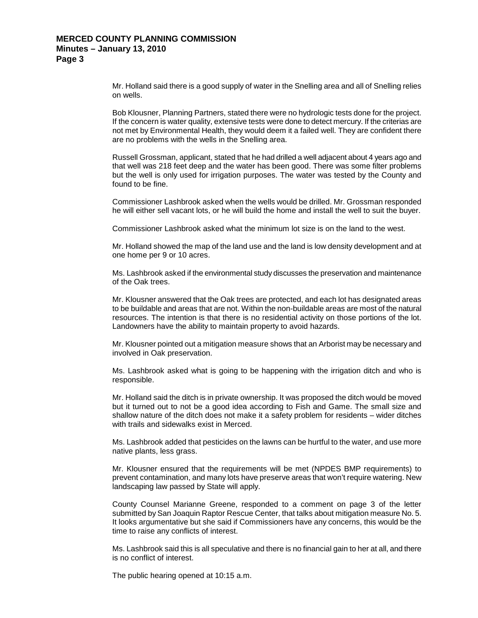Mr. Holland said there is a good supply of water in the Snelling area and all of Snelling relies on wells.

Bob Klousner, Planning Partners, stated there were no hydrologic tests done for the project. If the concern is water quality, extensive tests were done to detect mercury. If the criterias are not met by Environmental Health, they would deem it a failed well. They are confident there are no problems with the wells in the Snelling area.

Russell Grossman, applicant, stated that he had drilled a well adjacent about 4 years ago and that well was 218 feet deep and the water has been good. There was some filter problems but the well is only used for irrigation purposes. The water was tested by the County and found to be fine.

Commissioner Lashbrook asked when the wells would be drilled. Mr. Grossman responded he will either sell vacant lots, or he will build the home and install the well to suit the buyer.

Commissioner Lashbrook asked what the minimum lot size is on the land to the west.

Mr. Holland showed the map of the land use and the land is low density development and at one home per 9 or 10 acres.

Ms. Lashbrook asked if the environmental study discusses the preservation and maintenance of the Oak trees.

Mr. Klousner answered that the Oak trees are protected, and each lot has designated areas to be buildable and areas that are not. Within the non-buildable areas are most of the natural resources. The intention is that there is no residential activity on those portions of the lot. Landowners have the ability to maintain property to avoid hazards.

Mr. Klousner pointed out a mitigation measure shows that an Arborist may be necessary and involved in Oak preservation.

Ms. Lashbrook asked what is going to be happening with the irrigation ditch and who is responsible.

Mr. Holland said the ditch is in private ownership. It was proposed the ditch would be moved but it turned out to not be a good idea according to Fish and Game. The small size and shallow nature of the ditch does not make it a safety problem for residents – wider ditches with trails and sidewalks exist in Merced.

Ms. Lashbrook added that pesticides on the lawns can be hurtful to the water, and use more native plants, less grass.

Mr. Klousner ensured that the requirements will be met (NPDES BMP requirements) to prevent contamination, and many lots have preserve areas that won't require watering. New landscaping law passed by State will apply.

County Counsel Marianne Greene, responded to a comment on page 3 of the letter submitted by San Joaquin Raptor Rescue Center, that talks about mitigation measure No. 5. It looks argumentative but she said if Commissioners have any concerns, this would be the time to raise any conflicts of interest.

Ms. Lashbrook said this is all speculative and there is no financial gain to her at all, and there is no conflict of interest.

The public hearing opened at 10:15 a.m.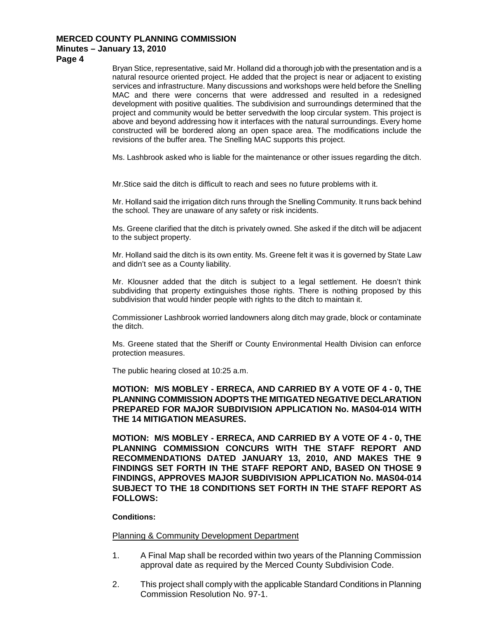**Page 4**

Bryan Stice, representative, said Mr. Holland did a thorough job with the presentation and is a natural resource oriented project. He added that the project is near or adjacent to existing services and infrastructure. Many discussions and workshops were held before the Snelling MAC and there were concerns that were addressed and resulted in a redesigned development with positive qualities. The subdivision and surroundings determined that the project and community would be better servedwith the loop circular system. This project is above and beyond addressing how it interfaces with the natural surroundings. Every home constructed will be bordered along an open space area. The modifications include the revisions of the buffer area. The Snelling MAC supports this project.

Ms. Lashbrook asked who is liable for the maintenance or other issues regarding the ditch.

Mr.Stice said the ditch is difficult to reach and sees no future problems with it.

Mr. Holland said the irrigation ditch runs through the Snelling Community. It runs back behind the school. They are unaware of any safety or risk incidents.

Ms. Greene clarified that the ditch is privately owned. She asked if the ditch will be adjacent to the subject property.

Mr. Holland said the ditch is its own entity. Ms. Greene felt it was it is governed by State Law and didn't see as a County liability.

Mr. Klousner added that the ditch is subject to a legal settlement. He doesn't think subdividing that property extinguishes those rights. There is nothing proposed by this subdivision that would hinder people with rights to the ditch to maintain it.

Commissioner Lashbrook worried landowners along ditch may grade, block or contaminate the ditch.

Ms. Greene stated that the Sheriff or County Environmental Health Division can enforce protection measures.

The public hearing closed at 10:25 a.m.

## **MOTION: M/S MOBLEY - ERRECA, AND CARRIED BY A VOTE OF 4 - 0, THE PLANNING COMMISSION ADOPTS THE MITIGATED NEGATIVE DECLARATION PREPARED FOR MAJOR SUBDIVISION APPLICATION No. MAS04-014 WITH THE 14 MITIGATION MEASURES.**

**MOTION: M/S MOBLEY - ERRECA, AND CARRIED BY A VOTE OF 4 - 0, THE PLANNING COMMISSION CONCURS WITH THE STAFF REPORT AND RECOMMENDATIONS DATED JANUARY 13, 2010, AND MAKES THE 9 FINDINGS SET FORTH IN THE STAFF REPORT AND, BASED ON THOSE 9 FINDINGS, APPROVES MAJOR SUBDIVISION APPLICATION No. MAS04-014 SUBJECT TO THE 18 CONDITIONS SET FORTH IN THE STAFF REPORT AS FOLLOWS:**

**Conditions:**

**Planning & Community Development Department** 

- 1. A Final Map shall be recorded within two years of the Planning Commission approval date as required by the Merced County Subdivision Code.
- 2. This project shall comply with the applicable Standard Conditions in Planning Commission Resolution No. 97-1.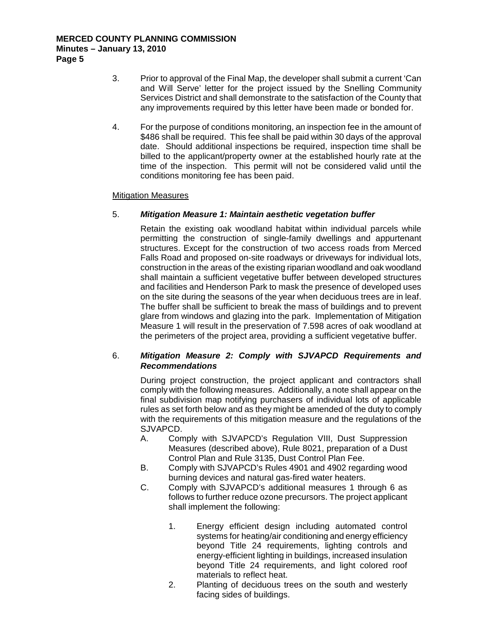- 3. Prior to approval of the Final Map, the developer shall submit a current 'Can and Will Serve' letter for the project issued by the Snelling Community Services District and shall demonstrate to the satisfaction of the County that any improvements required by this letter have been made or bonded for.
- 4. For the purpose of conditions monitoring, an inspection fee in the amount of \$486 shall be required. This fee shall be paid within 30 days of the approval date. Should additional inspections be required, inspection time shall be billed to the applicant/property owner at the established hourly rate at the time of the inspection. This permit will not be considered valid until the conditions monitoring fee has been paid.

#### Mitigation Measures

## 5. *Mitigation Measure 1: Maintain aesthetic vegetation buffer*

Retain the existing oak woodland habitat within individual parcels while permitting the construction of single-family dwellings and appurtenant structures. Except for the construction of two access roads from Merced Falls Road and proposed on-site roadways or driveways for individual lots, construction in the areas of the existing riparian woodland and oak woodland shall maintain a sufficient vegetative buffer between developed structures and facilities and Henderson Park to mask the presence of developed uses on the site during the seasons of the year when deciduous trees are in leaf. The buffer shall be sufficient to break the mass of buildings and to prevent glare from windows and glazing into the park. Implementation of Mitigation Measure 1 will result in the preservation of 7.598 acres of oak woodland at the perimeters of the project area, providing a sufficient vegetative buffer.

## 6. *Mitigation Measure 2: Comply with SJVAPCD Requirements and Recommendations*

During project construction, the project applicant and contractors shall comply with the following measures. Additionally, a note shall appear on the final subdivision map notifying purchasers of individual lots of applicable rules as set forth below and as they might be amended of the duty to comply with the requirements of this mitigation measure and the regulations of the SJVAPCD.

- A. Comply with SJVAPCD's Regulation VIII, Dust Suppression Measures (described above), Rule 8021, preparation of a Dust Control Plan and Rule 3135, Dust Control Plan Fee.
- B. Comply with SJVAPCD's Rules 4901 and 4902 regarding wood burning devices and natural gas-fired water heaters.
- C. Comply with SJVAPCD's additional measures 1 through 6 as follows to further reduce ozone precursors. The project applicant shall implement the following:
	- 1. Energy efficient design including automated control systems for heating/air conditioning and energy efficiency beyond Title 24 requirements, lighting controls and energy-efficient lighting in buildings, increased insulation beyond Title 24 requirements, and light colored roof materials to reflect heat.
	- 2. Planting of deciduous trees on the south and westerly facing sides of buildings.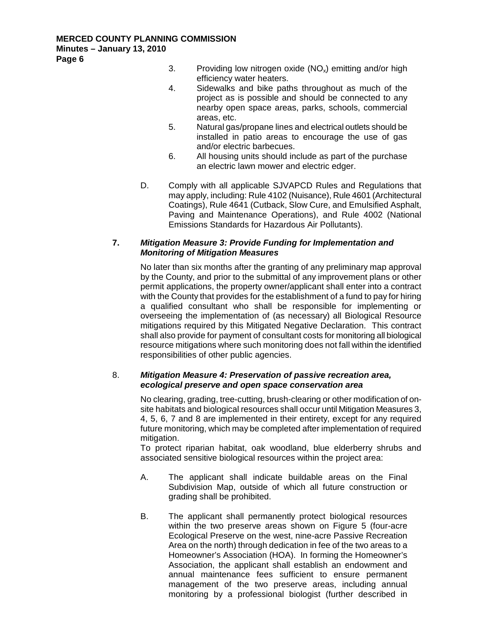- 3. Providing low nitrogen oxide  $(NO_x)$  emitting and/or high efficiency water heaters.
- 4. Sidewalks and bike paths throughout as much of the project as is possible and should be connected to any nearby open space areas, parks, schools, commercial areas, etc.
- 5. Natural gas/propane lines and electrical outlets should be installed in patio areas to encourage the use of gas and/or electric barbecues.
- 6. All housing units should include as part of the purchase an electric lawn mower and electric edger.
- D. Comply with all applicable SJVAPCD Rules and Regulations that may apply, including: Rule 4102 (Nuisance), Rule 4601 (Architectural Coatings), Rule 4641 (Cutback, Slow Cure, and Emulsified Asphalt, Paving and Maintenance Operations), and Rule 4002 (National Emissions Standards for Hazardous Air Pollutants).

## **7.** *Mitigation Measure 3: Provide Funding for Implementation and Monitoring of Mitigation Measures*

No later than six months after the granting of any preliminary map approval by the County, and prior to the submittal of any improvement plans or other permit applications, the property owner/applicant shall enter into a contract with the County that provides for the establishment of a fund to pay for hiring a qualified consultant who shall be responsible for implementing or overseeing the implementation of (as necessary) all Biological Resource mitigations required by this Mitigated Negative Declaration. This contract shall also provide for payment of consultant costs for monitoring all biological resource mitigations where such monitoring does not fall within the identified responsibilities of other public agencies.

## 8. *Mitigation Measure 4: Preservation of passive recreation area, ecological preserve and open space conservation area*

No clearing, grading, tree-cutting, brush-clearing or other modification of onsite habitats and biological resources shall occur until Mitigation Measures 3, 4, 5, 6, 7 and 8 are implemented in their entirety, except for any required future monitoring, which may be completed after implementation of required mitigation.

To protect riparian habitat, oak woodland, blue elderberry shrubs and associated sensitive biological resources within the project area:

- A. The applicant shall indicate buildable areas on the Final Subdivision Map, outside of which all future construction or grading shall be prohibited.
- B. The applicant shall permanently protect biological resources within the two preserve areas shown on Figure 5 (four-acre Ecological Preserve on the west, nine-acre Passive Recreation Area on the north) through dedication in fee of the two areas to a Homeowner's Association (HOA). In forming the Homeowner's Association, the applicant shall establish an endowment and annual maintenance fees sufficient to ensure permanent management of the two preserve areas, including annual monitoring by a professional biologist (further described in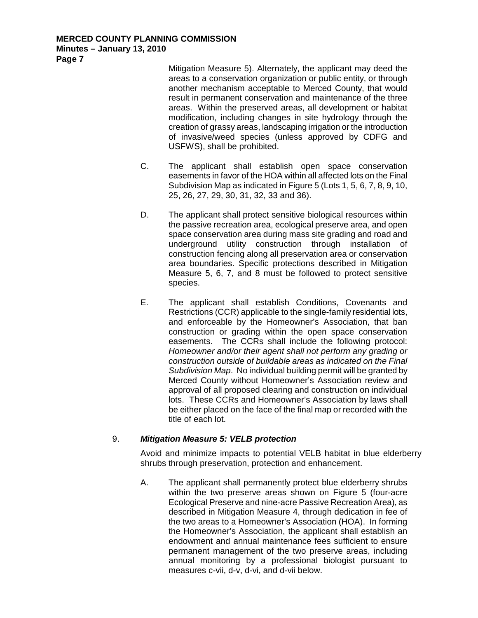Mitigation Measure 5). Alternately, the applicant may deed the areas to a conservation organization or public entity, or through another mechanism acceptable to Merced County, that would result in permanent conservation and maintenance of the three areas. Within the preserved areas, all development or habitat modification, including changes in site hydrology through the creation of grassy areas, landscaping irrigation or the introduction of invasive/weed species (unless approved by CDFG and USFWS), shall be prohibited.

- C. The applicant shall establish open space conservation easements in favor of the HOA within all affected lots on the Final Subdivision Map as indicated in Figure 5 (Lots 1, 5, 6, 7, 8, 9, 10, 25, 26, 27, 29, 30, 31, 32, 33 and 36).
- D. The applicant shall protect sensitive biological resources within the passive recreation area, ecological preserve area, and open space conservation area during mass site grading and road and underground utility construction through installation of construction fencing along all preservation area or conservation area boundaries. Specific protections described in Mitigation Measure 5, 6, 7, and 8 must be followed to protect sensitive species.
- E. The applicant shall establish Conditions, Covenants and Restrictions (CCR) applicable to the single-family residential lots, and enforceable by the Homeowner's Association, that ban construction or grading within the open space conservation easements. The CCRs shall include the following protocol: *Homeowner and/or their agent shall not perform any grading or construction outside of buildable areas as indicated on the Final Subdivision Map*. No individual building permit will be granted by Merced County without Homeowner's Association review and approval of all proposed clearing and construction on individual lots. These CCRs and Homeowner's Association by laws shall be either placed on the face of the final map or recorded with the title of each lot.

## 9. *Mitigation Measure 5: VELB protection*

Avoid and minimize impacts to potential VELB habitat in blue elderberry shrubs through preservation, protection and enhancement.

A. The applicant shall permanently protect blue elderberry shrubs within the two preserve areas shown on Figure 5 (four-acre Ecological Preserve and nine-acre Passive Recreation Area), as described in Mitigation Measure 4, through dedication in fee of the two areas to a Homeowner's Association (HOA). In forming the Homeowner's Association, the applicant shall establish an endowment and annual maintenance fees sufficient to ensure permanent management of the two preserve areas, including annual monitoring by a professional biologist pursuant to measures c-vii, d-v, d-vi, and d-vii below.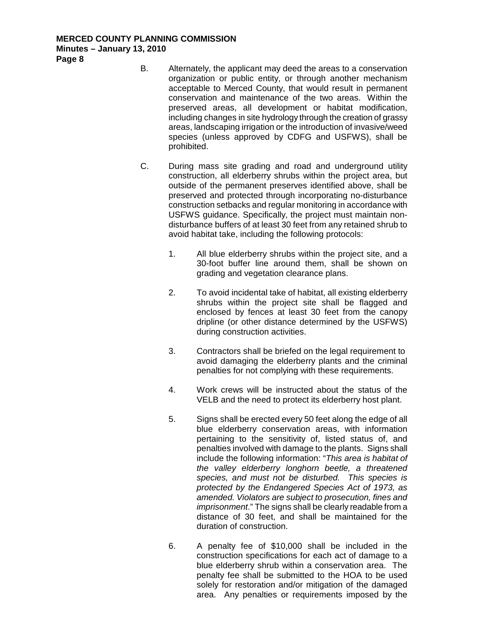**Page 8**

- B. Alternately, the applicant may deed the areas to a conservation organization or public entity, or through another mechanism acceptable to Merced County, that would result in permanent conservation and maintenance of the two areas. Within the preserved areas, all development or habitat modification, including changes in site hydrology through the creation of grassy areas, landscaping irrigation or the introduction of invasive/weed species (unless approved by CDFG and USFWS), shall be prohibited.
- C. During mass site grading and road and underground utility construction, all elderberry shrubs within the project area, but outside of the permanent preserves identified above, shall be preserved and protected through incorporating no-disturbance construction setbacks and regular monitoring in accordance with USFWS guidance. Specifically, the project must maintain nondisturbance buffers of at least 30 feet from any retained shrub to avoid habitat take, including the following protocols:
	- 1. All blue elderberry shrubs within the project site, and a 30-foot buffer line around them, shall be shown on grading and vegetation clearance plans.
	- 2. To avoid incidental take of habitat, all existing elderberry shrubs within the project site shall be flagged and enclosed by fences at least 30 feet from the canopy dripline (or other distance determined by the USFWS) during construction activities.
	- 3. Contractors shall be briefed on the legal requirement to avoid damaging the elderberry plants and the criminal penalties for not complying with these requirements.
	- 4. Work crews will be instructed about the status of the VELB and the need to protect its elderberry host plant.
	- 5. Signs shall be erected every 50 feet along the edge of all blue elderberry conservation areas, with information pertaining to the sensitivity of, listed status of, and penalties involved with damage to the plants. Signs shall include the following information: "*This area is habitat of the valley elderberry longhorn beetle, a threatened species, and must not be disturbed. This species is protected by the Endangered Species Act of 1973, as amended. Violators are subject to prosecution, fines and imprisonment*." The signs shall be clearly readable from a distance of 30 feet, and shall be maintained for the duration of construction.
	- 6. A penalty fee of \$10,000 shall be included in the construction specifications for each act of damage to a blue elderberry shrub within a conservation area. The penalty fee shall be submitted to the HOA to be used solely for restoration and/or mitigation of the damaged area. Any penalties or requirements imposed by the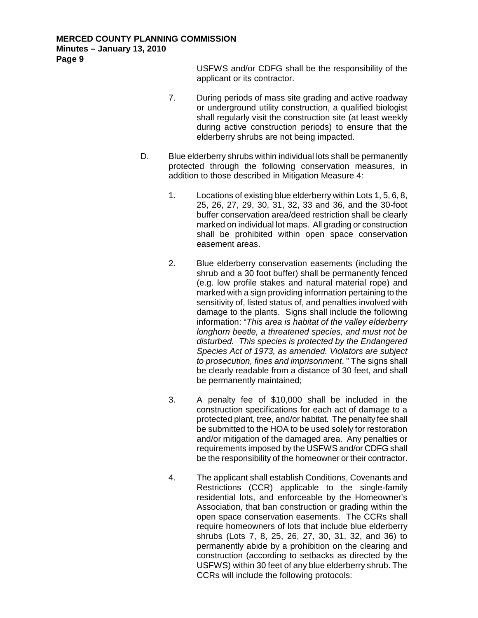USFWS and/or CDFG shall be the responsibility of the applicant or its contractor.

- 7. During periods of mass site grading and active roadway or underground utility construction, a qualified biologist shall regularly visit the construction site (at least weekly during active construction periods) to ensure that the elderberry shrubs are not being impacted.
- D. Blue elderberry shrubs within individual lots shall be permanently protected through the following conservation measures, in addition to those described in Mitigation Measure 4:
	- 1. Locations of existing blue elderberry within Lots 1, 5, 6, 8, 25, 26, 27, 29, 30, 31, 32, 33 and 36, and the 30-foot buffer conservation area/deed restriction shall be clearly marked on individual lot maps. All grading or construction shall be prohibited within open space conservation easement areas.
	- 2. Blue elderberry conservation easements (including the shrub and a 30 foot buffer) shall be permanently fenced (e.g. low profile stakes and natural material rope) and marked with a sign providing information pertaining to the sensitivity of, listed status of, and penalties involved with damage to the plants. Signs shall include the following information: "*This area is habitat of the valley elderberry longhorn beetle, a threatened species, and must not be disturbed. This species is protected by the Endangered Species Act of 1973, as amended. Violators are subject to prosecution, fines and imprisonment*. " The signs shall be clearly readable from a distance of 30 feet, and shall be permanently maintained;
	- 3. A penalty fee of \$10,000 shall be included in the construction specifications for each act of damage to a protected plant, tree, and/or habitat. The penalty fee shall be submitted to the HOA to be used solely for restoration and/or mitigation of the damaged area. Any penalties or requirements imposed by the USFWS and/or CDFG shall be the responsibility of the homeowner or their contractor.
	- 4. The applicant shall establish Conditions, Covenants and Restrictions (CCR) applicable to the single-family residential lots, and enforceable by the Homeowner's Association, that ban construction or grading within the open space conservation easements. The CCRs shall require homeowners of lots that include blue elderberry shrubs (Lots 7, 8, 25, 26, 27, 30, 31, 32, and 36) to permanently abide by a prohibition on the clearing and construction (according to setbacks as directed by the USFWS) within 30 feet of any blue elderberry shrub. The CCRs will include the following protocols: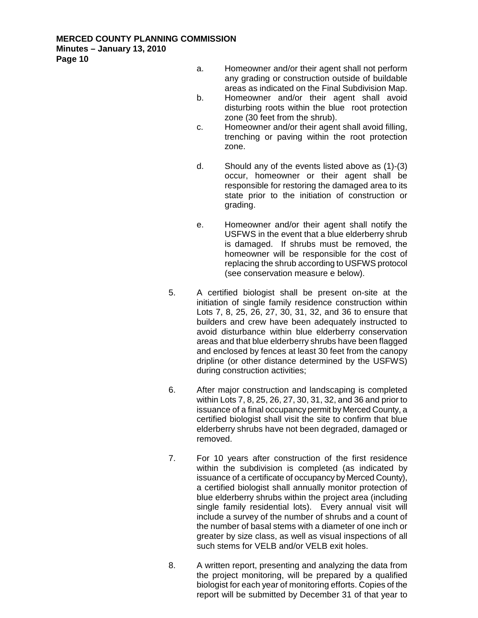- a. Homeowner and/or their agent shall not perform any grading or construction outside of buildable areas as indicated on the Final Subdivision Map.
- b. Homeowner and/or their agent shall avoid disturbing roots within the blue root protection zone (30 feet from the shrub).
- c. Homeowner and/or their agent shall avoid filling, trenching or paving within the root protection zone.
- d. Should any of the events listed above as (1)-(3) occur, homeowner or their agent shall be responsible for restoring the damaged area to its state prior to the initiation of construction or grading.
- e. Homeowner and/or their agent shall notify the USFWS in the event that a blue elderberry shrub is damaged. If shrubs must be removed, the homeowner will be responsible for the cost of replacing the shrub according to USFWS protocol (see conservation measure e below).
- 5. A certified biologist shall be present on-site at the initiation of single family residence construction within Lots 7, 8, 25, 26, 27, 30, 31, 32, and 36 to ensure that builders and crew have been adequately instructed to avoid disturbance within blue elderberry conservation areas and that blue elderberry shrubs have been flagged and enclosed by fences at least 30 feet from the canopy dripline (or other distance determined by the USFWS) during construction activities;
- 6. After major construction and landscaping is completed within Lots 7, 8, 25, 26, 27, 30, 31, 32, and 36 and prior to issuance of a final occupancy permit by Merced County, a certified biologist shall visit the site to confirm that blue elderberry shrubs have not been degraded, damaged or removed.
- 7. For 10 years after construction of the first residence within the subdivision is completed (as indicated by issuance of a certificate of occupancy by Merced County), a certified biologist shall annually monitor protection of blue elderberry shrubs within the project area (including single family residential lots). Every annual visit will include a survey of the number of shrubs and a count of the number of basal stems with a diameter of one inch or greater by size class, as well as visual inspections of all such stems for VELB and/or VELB exit holes.
- 8. A written report, presenting and analyzing the data from the project monitoring, will be prepared by a qualified biologist for each year of monitoring efforts. Copies of the report will be submitted by December 31 of that year to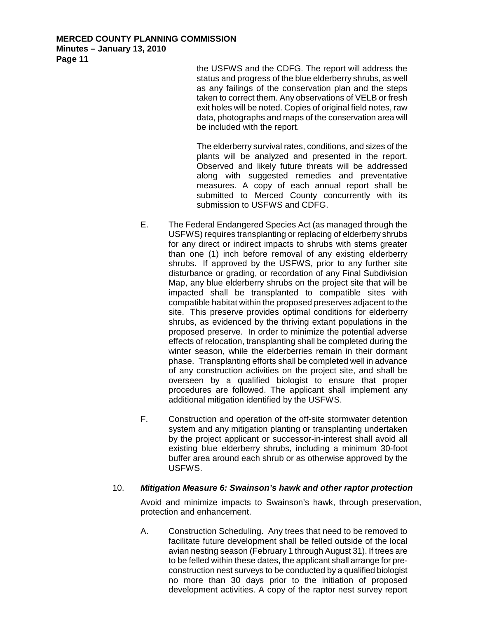> the USFWS and the CDFG. The report will address the status and progress of the blue elderberry shrubs, as well as any failings of the conservation plan and the steps taken to correct them. Any observations of VELB or fresh exit holes will be noted. Copies of original field notes, raw data, photographs and maps of the conservation area will be included with the report.

> The elderberry survival rates, conditions, and sizes of the plants will be analyzed and presented in the report. Observed and likely future threats will be addressed along with suggested remedies and preventative measures. A copy of each annual report shall be submitted to Merced County concurrently with its submission to USFWS and CDFG.

- E. The Federal Endangered Species Act (as managed through the USFWS) requires transplanting or replacing of elderberry shrubs for any direct or indirect impacts to shrubs with stems greater than one (1) inch before removal of any existing elderberry shrubs. If approved by the USFWS, prior to any further site disturbance or grading, or recordation of any Final Subdivision Map, any blue elderberry shrubs on the project site that will be impacted shall be transplanted to compatible sites with compatible habitat within the proposed preserves adjacent to the site. This preserve provides optimal conditions for elderberry shrubs, as evidenced by the thriving extant populations in the proposed preserve. In order to minimize the potential adverse effects of relocation, transplanting shall be completed during the winter season, while the elderberries remain in their dormant phase. Transplanting efforts shall be completed well in advance of any construction activities on the project site, and shall be overseen by a qualified biologist to ensure that proper procedures are followed. The applicant shall implement any additional mitigation identified by the USFWS.
- F. Construction and operation of the off-site stormwater detention system and any mitigation planting or transplanting undertaken by the project applicant or successor-in-interest shall avoid all existing blue elderberry shrubs, including a minimum 30-foot buffer area around each shrub or as otherwise approved by the USFWS.

## 10. *Mitigation Measure 6: Swainson's hawk and other raptor protection*

Avoid and minimize impacts to Swainson's hawk, through preservation, protection and enhancement.

A. Construction Scheduling. Any trees that need to be removed to facilitate future development shall be felled outside of the local avian nesting season (February 1 through August 31). If trees are to be felled within these dates, the applicant shall arrange for preconstruction nest surveys to be conducted by a qualified biologist no more than 30 days prior to the initiation of proposed development activities. A copy of the raptor nest survey report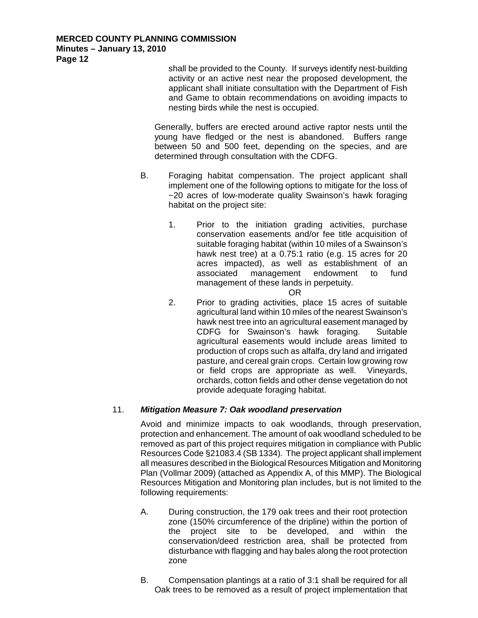shall be provided to the County. If surveys identify nest-building activity or an active nest near the proposed development, the applicant shall initiate consultation with the Department of Fish and Game to obtain recommendations on avoiding impacts to nesting birds while the nest is occupied.

Generally, buffers are erected around active raptor nests until the young have fledged or the nest is abandoned. Buffers range between 50 and 500 feet, depending on the species, and are determined through consultation with the CDFG.

- B. Foraging habitat compensation. The project applicant shall implement one of the following options to mitigate for the loss of ~20 acres of low-moderate quality Swainson's hawk foraging habitat on the project site:
	- 1. Prior to the initiation grading activities, purchase conservation easements and/or fee title acquisition of suitable foraging habitat (within 10 miles of a Swainson's hawk nest tree) at a 0.75:1 ratio (e.g. 15 acres for 20 acres impacted), as well as establishment of an associated management endowment to fund management of these lands in perpetuity.
	- OR 2. Prior to grading activities, place 15 acres of suitable agricultural land within 10 miles of the nearest Swainson's hawk nest tree into an agricultural easement managed by CDFG for Swainson's hawk foraging. Suitable agricultural easements would include areas limited to production of crops such as alfalfa, dry land and irrigated pasture, and cereal grain crops. Certain low growing row or field crops are appropriate as well. Vineyards, orchards, cotton fields and other dense vegetation do not provide adequate foraging habitat.

## 11. *Mitigation Measure 7: Oak woodland preservation*

Avoid and minimize impacts to oak woodlands, through preservation, protection and enhancement. The amount of oak woodland scheduled to be removed as part of this project requires mitigation in compliance with Public Resources Code §21083.4 (SB 1334). The project applicant shall implement all measures described in the Biological Resources Mitigation and Monitoring Plan (Vollmar 2009) (attached as Appendix A, of this MMP). The Biological Resources Mitigation and Monitoring plan includes, but is not limited to the following requirements:

- A. During construction, the 179 oak trees and their root protection zone (150% circumference of the dripline) within the portion of the project site to be developed, and within the conservation/deed restriction area, shall be protected from disturbance with flagging and hay bales along the root protection zone
- B. Compensation plantings at a ratio of 3:1 shall be required for all Oak trees to be removed as a result of project implementation that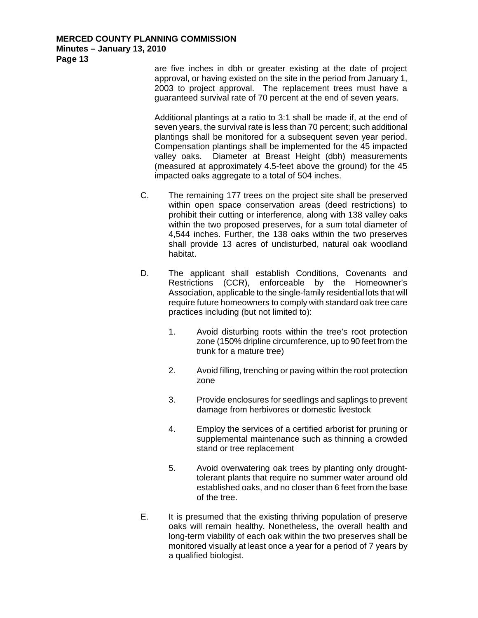are five inches in dbh or greater existing at the date of project approval, or having existed on the site in the period from January 1, 2003 to project approval. The replacement trees must have a guaranteed survival rate of 70 percent at the end of seven years.

Additional plantings at a ratio to 3:1 shall be made if, at the end of seven years, the survival rate is less than 70 percent; such additional plantings shall be monitored for a subsequent seven year period. Compensation plantings shall be implemented for the 45 impacted valley oaks. Diameter at Breast Height (dbh) measurements (measured at approximately 4.5-feet above the ground) for the 45 impacted oaks aggregate to a total of 504 inches.

- C. The remaining 177 trees on the project site shall be preserved within open space conservation areas (deed restrictions) to prohibit their cutting or interference, along with 138 valley oaks within the two proposed preserves, for a sum total diameter of 4,544 inches. Further, the 138 oaks within the two preserves shall provide 13 acres of undisturbed, natural oak woodland habitat.
- D. The applicant shall establish Conditions, Covenants and Restrictions (CCR), enforceable by the Homeowner's Association, applicable to the single-family residential lots that will require future homeowners to comply with standard oak tree care practices including (but not limited to):
	- 1. Avoid disturbing roots within the tree's root protection zone (150% dripline circumference, up to 90 feet from the trunk for a mature tree)
	- 2. Avoid filling, trenching or paving within the root protection zone
	- 3. Provide enclosures for seedlings and saplings to prevent damage from herbivores or domestic livestock
	- 4. Employ the services of a certified arborist for pruning or supplemental maintenance such as thinning a crowded stand or tree replacement
	- 5. Avoid overwatering oak trees by planting only droughttolerant plants that require no summer water around old established oaks, and no closer than 6 feet from the base of the tree.
- E. It is presumed that the existing thriving population of preserve oaks will remain healthy. Nonetheless, the overall health and long-term viability of each oak within the two preserves shall be monitored visually at least once a year for a period of 7 years by a qualified biologist.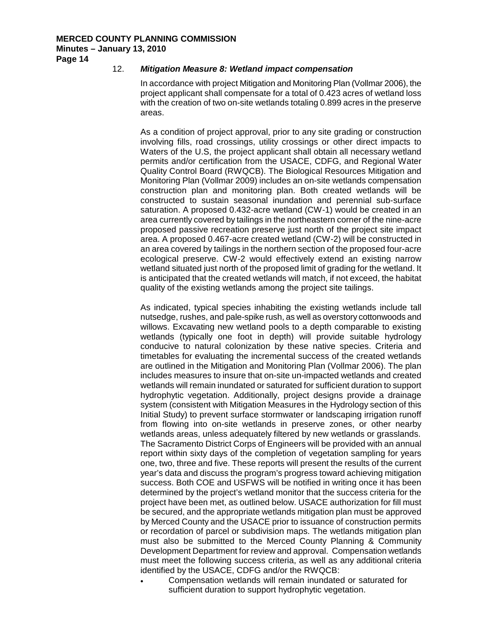## 12. *Mitigation Measure 8: Wetland impact compensation*

In accordance with project Mitigation and Monitoring Plan (Vollmar 2006), the project applicant shall compensate for a total of 0.423 acres of wetland loss with the creation of two on-site wetlands totaling 0.899 acres in the preserve areas.

As a condition of project approval, prior to any site grading or construction involving fills, road crossings, utility crossings or other direct impacts to Waters of the U.S, the project applicant shall obtain all necessary wetland permits and/or certification from the USACE, CDFG, and Regional Water Quality Control Board (RWQCB). The Biological Resources Mitigation and Monitoring Plan (Vollmar 2009) includes an on-site wetlands compensation construction plan and monitoring plan. Both created wetlands will be constructed to sustain seasonal inundation and perennial sub-surface saturation. A proposed 0.432-acre wetland (CW-1) would be created in an area currently covered by tailings in the northeastern corner of the nine-acre proposed passive recreation preserve just north of the project site impact area. A proposed 0.467-acre created wetland (CW-2) will be constructed in an area covered by tailings in the northern section of the proposed four-acre ecological preserve. CW-2 would effectively extend an existing narrow wetland situated just north of the proposed limit of grading for the wetland. It is anticipated that the created wetlands will match, if not exceed, the habitat quality of the existing wetlands among the project site tailings.

As indicated, typical species inhabiting the existing wetlands include tall nutsedge, rushes, and pale-spike rush, as well as overstory cottonwoods and willows. Excavating new wetland pools to a depth comparable to existing wetlands (typically one foot in depth) will provide suitable hydrology conducive to natural colonization by these native species. Criteria and timetables for evaluating the incremental success of the created wetlands are outlined in the Mitigation and Monitoring Plan (Vollmar 2006). The plan includes measures to insure that on-site un-impacted wetlands and created wetlands will remain inundated or saturated for sufficient duration to support hydrophytic vegetation. Additionally, project designs provide a drainage system (consistent with Mitigation Measures in the Hydrology section of this Initial Study) to prevent surface stormwater or landscaping irrigation runoff from flowing into on-site wetlands in preserve zones, or other nearby wetlands areas, unless adequately filtered by new wetlands or grasslands. The Sacramento District Corps of Engineers will be provided with an annual report within sixty days of the completion of vegetation sampling for years one, two, three and five. These reports will present the results of the current year's data and discuss the program's progress toward achieving mitigation success. Both COE and USFWS will be notified in writing once it has been determined by the project's wetland monitor that the success criteria for the project have been met, as outlined below. USACE authorization for fill must be secured, and the appropriate wetlands mitigation plan must be approved by Merced County and the USACE prior to issuance of construction permits or recordation of parcel or subdivision maps. The wetlands mitigation plan must also be submitted to the Merced County Planning & Community Development Department for review and approval. Compensation wetlands must meet the following success criteria, as well as any additional criteria identified by the USACE, CDFG and/or the RWQCB:

• Compensation wetlands will remain inundated or saturated for sufficient duration to support hydrophytic vegetation.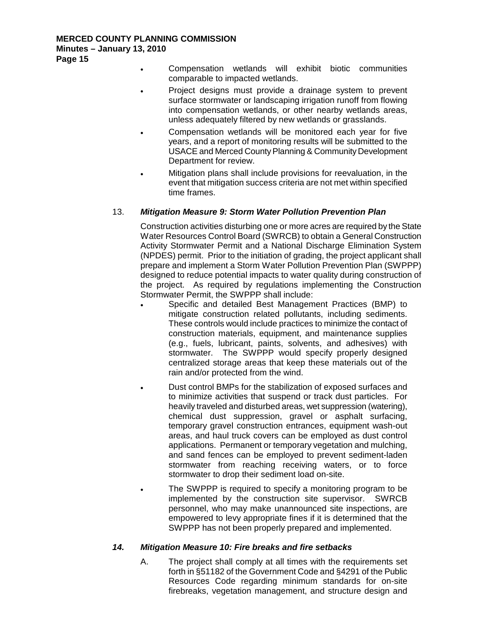- Compensation wetlands will exhibit biotic communities comparable to impacted wetlands.
- Project designs must provide a drainage system to prevent surface stormwater or landscaping irrigation runoff from flowing into compensation wetlands, or other nearby wetlands areas, unless adequately filtered by new wetlands or grasslands.
- Compensation wetlands will be monitored each year for five years, and a report of monitoring results will be submitted to the USACE and Merced County Planning & Community Development Department for review.
- Mitigation plans shall include provisions for reevaluation, in the event that mitigation success criteria are not met within specified time frames.

## 13. *Mitigation Measure 9: Storm Water Pollution Prevention Plan*

Construction activities disturbing one or more acres are required by the State Water Resources Control Board (SWRCB) to obtain a General Construction Activity Stormwater Permit and a National Discharge Elimination System (NPDES) permit. Prior to the initiation of grading, the project applicant shall prepare and implement a Storm Water Pollution Prevention Plan (SWPPP) designed to reduce potential impacts to water quality during construction of the project. As required by regulations implementing the Construction Stormwater Permit, the SWPPP shall include:

- Specific and detailed Best Management Practices (BMP) to mitigate construction related pollutants, including sediments. These controls would include practices to minimize the contact of construction materials, equipment, and maintenance supplies (e.g., fuels, lubricant, paints, solvents, and adhesives) with stormwater. The SWPPP would specify properly designed centralized storage areas that keep these materials out of the rain and/or protected from the wind.
- Dust control BMPs for the stabilization of exposed surfaces and to minimize activities that suspend or track dust particles. For heavily traveled and disturbed areas, wet suppression (watering), chemical dust suppression, gravel or asphalt surfacing, temporary gravel construction entrances, equipment wash-out areas, and haul truck covers can be employed as dust control applications. Permanent or temporary vegetation and mulching, and sand fences can be employed to prevent sediment-laden stormwater from reaching receiving waters, or to force stormwater to drop their sediment load on-site.
- The SWPPP is required to specify a monitoring program to be implemented by the construction site supervisor. SWRCB personnel, who may make unannounced site inspections, are empowered to levy appropriate fines if it is determined that the SWPPP has not been properly prepared and implemented.

## *14. Mitigation Measure 10: Fire breaks and fire setbacks*

A. The project shall comply at all times with the requirements set forth in §51182 of the Government Code and §4291 of the Public Resources Code regarding minimum standards for on-site firebreaks, vegetation management, and structure design and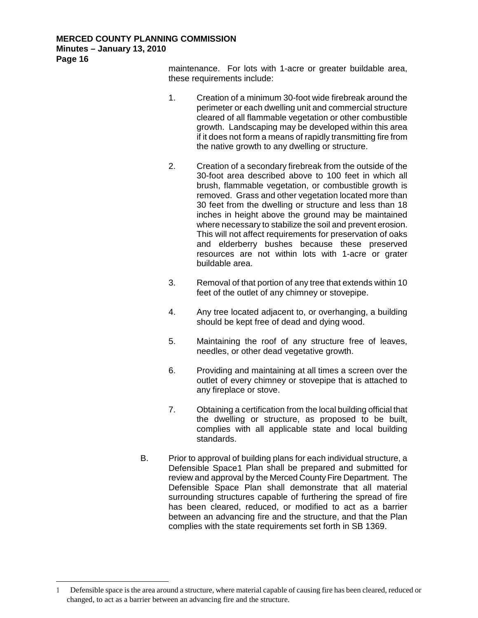maintenance. For lots with 1-acre or greater buildable area, these requirements include:

- 1. Creation of a minimum 30-foot wide firebreak around the perimeter or each dwelling unit and commercial structure cleared of all flammable vegetation or other combustible growth. Landscaping may be developed within this area if it does not form a means of rapidly transmitting fire from the native growth to any dwelling or structure.
- 2. Creation of a secondary firebreak from the outside of the 30-foot area described above to 100 feet in which all brush, flammable vegetation, or combustible growth is removed. Grass and other vegetation located more than 30 feet from the dwelling or structure and less than 18 inches in height above the ground may be maintained where necessary to stabilize the soil and prevent erosion. This will not affect requirements for preservation of oaks and elderberry bushes because these preserved resources are not within lots with 1-acre or grater buildable area.
- 3. Removal of that portion of any tree that extends within 10 feet of the outlet of any chimney or stovepipe.
- 4. Any tree located adjacent to, or overhanging, a building should be kept free of dead and dying wood.
- 5. Maintaining the roof of any structure free of leaves, needles, or other dead vegetative growth.
- 6. Providing and maintaining at all times a screen over the outlet of every chimney or stovepipe that is attached to any fireplace or stove.
- 7. Obtaining a certification from the local building official that the dwelling or structure, as proposed to be built, complies with all applicable state and local building standards.
- B. Prior to approval of building plans for each individual structure, a Defensible Space[1](#page-15-0) Plan shall be prepared and submitted for review and approval by the Merced County Fire Department. The Defensible Space Plan shall demonstrate that all material surrounding structures capable of furthering the spread of fire has been cleared, reduced, or modified to act as a barrier between an advancing fire and the structure, and that the Plan complies with the state requirements set forth in SB 1369.

<span id="page-15-0"></span>Ĩ 1 Defensible space is the area around a structure, where material capable of causing fire has been cleared, reduced or changed, to act as a barrier between an advancing fire and the structure.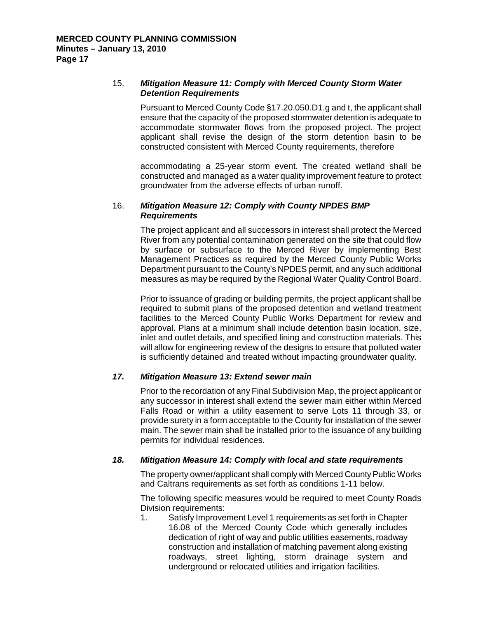## 15. *Mitigation Measure 11: Comply with Merced County Storm Water Detention Requirements*

Pursuant to Merced County Code §17.20.050.D1.g and t, the applicant shall ensure that the capacity of the proposed stormwater detention is adequate to accommodate stormwater flows from the proposed project. The project applicant shall revise the design of the storm detention basin to be constructed consistent with Merced County requirements, therefore

accommodating a 25-year storm event. The created wetland shall be constructed and managed as a water quality improvement feature to protect groundwater from the adverse effects of urban runoff.

## 16. *Mitigation Measure 12: Comply with County NPDES BMP Requirements*

The project applicant and all successors in interest shall protect the Merced River from any potential contamination generated on the site that could flow by surface or subsurface to the Merced River by implementing Best Management Practices as required by the Merced County Public Works Department pursuant to the County's NPDES permit, and any such additional measures as may be required by the Regional Water Quality Control Board.

Prior to issuance of grading or building permits, the project applicant shall be required to submit plans of the proposed detention and wetland treatment facilities to the Merced County Public Works Department for review and approval. Plans at a minimum shall include detention basin location, size, inlet and outlet details, and specified lining and construction materials. This will allow for engineering review of the designs to ensure that polluted water is sufficiently detained and treated without impacting groundwater quality.

## *17. Mitigation Measure 13: Extend sewer main*

Prior to the recordation of any Final Subdivision Map, the project applicant or any successor in interest shall extend the sewer main either within Merced Falls Road or within a utility easement to serve Lots 11 through 33, or provide surety in a form acceptable to the County for installation of the sewer main. The sewer main shall be installed prior to the issuance of any building permits for individual residences.

## *18. Mitigation Measure 14: Comply with local and state requirements*

The property owner/applicant shall comply with Merced County Public Works and Caltrans requirements as set forth as conditions 1-11 below.

The following specific measures would be required to meet County Roads Division requirements:

1. Satisfy Improvement Level 1 requirements as set forth in Chapter 16.08 of the Merced County Code which generally includes dedication of right of way and public utilities easements, roadway construction and installation of matching pavement along existing roadways, street lighting, storm drainage system and underground or relocated utilities and irrigation facilities.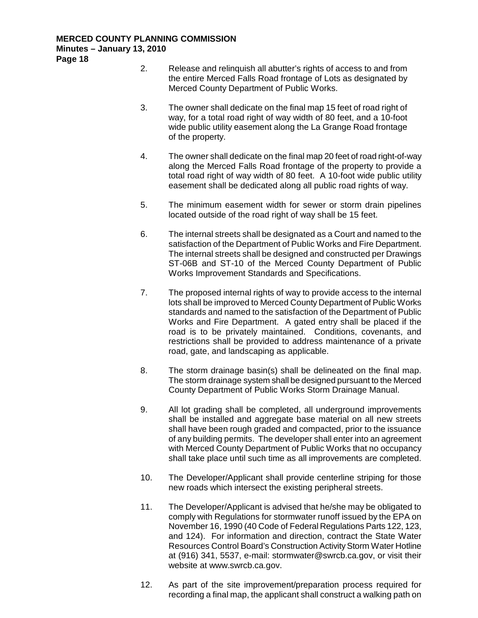- 2. Release and relinquish all abutter's rights of access to and from the entire Merced Falls Road frontage of Lots as designated by Merced County Department of Public Works.
- 3. The owner shall dedicate on the final map 15 feet of road right of way, for a total road right of way width of 80 feet, and a 10-foot wide public utility easement along the La Grange Road frontage of the property.
- 4. The owner shall dedicate on the final map 20 feet of road right-of-way along the Merced Falls Road frontage of the property to provide a total road right of way width of 80 feet. A 10-foot wide public utility easement shall be dedicated along all public road rights of way.
- 5. The minimum easement width for sewer or storm drain pipelines located outside of the road right of way shall be 15 feet.
- 6. The internal streets shall be designated as a Court and named to the satisfaction of the Department of Public Works and Fire Department. The internal streets shall be designed and constructed per Drawings ST-06B and ST-10 of the Merced County Department of Public Works Improvement Standards and Specifications.
- 7. The proposed internal rights of way to provide access to the internal lots shall be improved to Merced County Department of Public Works standards and named to the satisfaction of the Department of Public Works and Fire Department. A gated entry shall be placed if the road is to be privately maintained. Conditions, covenants, and restrictions shall be provided to address maintenance of a private road, gate, and landscaping as applicable.
- 8. The storm drainage basin(s) shall be delineated on the final map. The storm drainage system shall be designed pursuant to the Merced County Department of Public Works Storm Drainage Manual.
- 9. All lot grading shall be completed, all underground improvements shall be installed and aggregate base material on all new streets shall have been rough graded and compacted, prior to the issuance of any building permits. The developer shall enter into an agreement with Merced County Department of Public Works that no occupancy shall take place until such time as all improvements are completed.
- 10. The Developer/Applicant shall provide centerline striping for those new roads which intersect the existing peripheral streets.
- 11. The Developer/Applicant is advised that he/she may be obligated to comply with Regulations for stormwater runoff issued by the EPA on November 16, 1990 (40 Code of Federal Regulations Parts 122, 123, and 124). For information and direction, contract the State Water Resources Control Board's Construction Activity Storm Water Hotline at (916) 341, 5537, e-mail: [stormwater@swrcb.ca.gov,](mailto:stormwater@swrcb.ca.gov) or visit their website at [www.swrcb.ca.gov.](http://www.swrcb.ca.gov/)
- 12. As part of the site improvement/preparation process required for recording a final map, the applicant shall construct a walking path on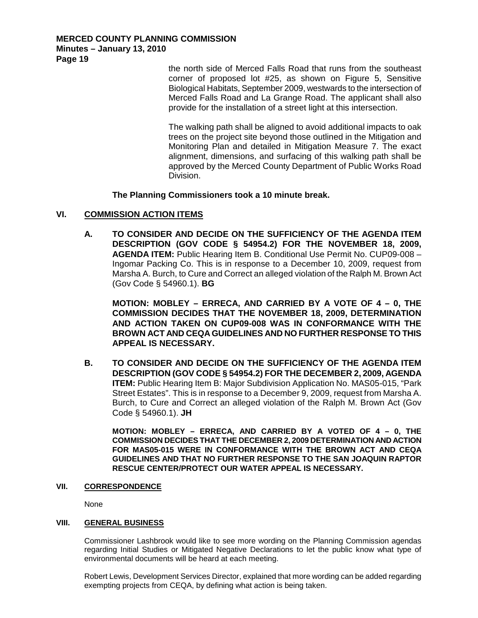> the north side of Merced Falls Road that runs from the southeast corner of proposed lot #25, as shown on Figure 5, Sensitive Biological Habitats, September 2009, westwards to the intersection of Merced Falls Road and La Grange Road. The applicant shall also provide for the installation of a street light at this intersection.

> The walking path shall be aligned to avoid additional impacts to oak trees on the project site beyond those outlined in the Mitigation and Monitoring Plan and detailed in Mitigation Measure 7. The exact alignment, dimensions, and surfacing of this walking path shall be approved by the Merced County Department of Public Works Road **Division**

**The Planning Commissioners took a 10 minute break.**

## **VI. COMMISSION ACTION ITEMS**

**A. TO CONSIDER AND DECIDE ON THE SUFFICIENCY OF THE AGENDA ITEM DESCRIPTION (GOV CODE § 54954.2) FOR THE NOVEMBER 18, 2009, AGENDA ITEM:** Public Hearing Item B. Conditional Use Permit No. CUP09-008 – Ingomar Packing Co. This is in response to a December 10, 2009, request from Marsha A. Burch, to Cure and Correct an alleged violation of the Ralph M. Brown Act (Gov Code § 54960.1). **BG**

**MOTION: MOBLEY – ERRECA, AND CARRIED BY A VOTE OF 4 – 0, THE COMMISSION DECIDES THAT THE NOVEMBER 18, 2009, DETERMINATION AND ACTION TAKEN ON CUP09-008 WAS IN CONFORMANCE WITH THE BROWN ACT AND CEQA GUIDELINES AND NO FURTHER RESPONSE TO THIS APPEAL IS NECESSARY.**

**B. TO CONSIDER AND DECIDE ON THE SUFFICIENCY OF THE AGENDA ITEM DESCRIPTION (GOV CODE § 54954.2) FOR THE DECEMBER 2, 2009, AGENDA ITEM:** Public Hearing Item B: Major Subdivision Application No. MAS05-015, "Park Street Estates". This is in response to a December 9, 2009, request from Marsha A. Burch, to Cure and Correct an alleged violation of the Ralph M. Brown Act (Gov Code § 54960.1). **JH**

**MOTION: MOBLEY – ERRECA, AND CARRIED BY A VOTED OF 4 – 0, THE COMMISSION DECIDES THAT THE DECEMBER 2, 2009 DETERMINATION AND ACTION FOR MAS05-015 WERE IN CONFORMANCE WITH THE BROWN ACT AND CEQA GUIDELINES AND THAT NO FURTHER RESPONSE TO THE SAN JOAQUIN RAPTOR RESCUE CENTER/PROTECT OUR WATER APPEAL IS NECESSARY.**

#### **VII. CORRESPONDENCE**

None

#### **VIII. GENERAL BUSINESS**

Commissioner Lashbrook would like to see more wording on the Planning Commission agendas regarding Initial Studies or Mitigated Negative Declarations to let the public know what type of environmental documents will be heard at each meeting.

Robert Lewis, Development Services Director, explained that more wording can be added regarding exempting projects from CEQA, by defining what action is being taken.